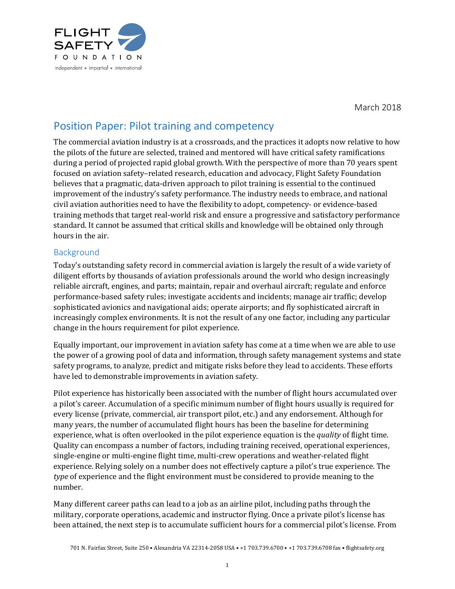

March 2018

## Position Paper: Pilot training and competency

The commercial aviation industry is at a crossroads, and the practices it adopts now relative to how the pilots of the future are selected, trained and mentored will have critical safety ramifications during a period of projected rapid global growth. With the perspective of more than 70 years spent focused on aviation safety-related research, education and advocacy, Flight Safety Foundation believes that a pragmatic, data-driven approach to pilot training is essential to the continued improvement of the industry's safety performance. The industry needs to embrace, and national civil aviation authorities need to have the flexibility to adopt, competency- or evidence-based training methods that target real-world risk and ensure a progressive and satisfactory performance standard. It cannot be assumed that critical skills and knowledge will be obtained only through hours in the air.

## Background

Today's outstanding safety record in commercial aviation is largely the result of a wide variety of diligent efforts by thousands of aviation professionals around the world who design increasingly reliable aircraft, engines, and parts; maintain, repair and overhaul aircraft; regulate and enforce performance-based safety rules; investigate accidents and incidents; manage air traffic; develop sophisticated avionics and navigational aids; operate airports; and fly sophisticated aircraft in increasingly complex environments. It is not the result of any one factor, including any particular change in the hours requirement for pilot experience.

Equally important, our improvement in aviation safety has come at a time when we are able to use the power of a growing pool of data and information, through safety management systems and state safety programs, to analyze, predict and mitigate risks before they lead to accidents. These efforts have led to demonstrable improvements in aviation safety.

Pilot experience has historically been associated with the number of flight hours accumulated over a pilot's career. Accumulation of a specific minimum number of flight hours usually is required for every license (private, commercial, air transport pilot, etc.) and any endorsement. Although for many years, the number of accumulated flight hours has been the baseline for determining experience, what is often overlooked in the pilot experience equation is the *quality* of flight time. Quality can encompass a number of factors, including training received, operational experiences, single-engine or multi-engine flight time, multi-crew operations and weather-related flight experience. Relying solely on a number does not effectively capture a pilot's true experience. The *type* of experience and the flight environment must be considered to provide meaning to the number.

Many different career paths can lead to a job as an airline pilot, including paths through the military, corporate operations, academic and instructor flying. Once a private pilot's license has been attained, the next step is to accumulate sufficient hours for a commercial pilot's license. From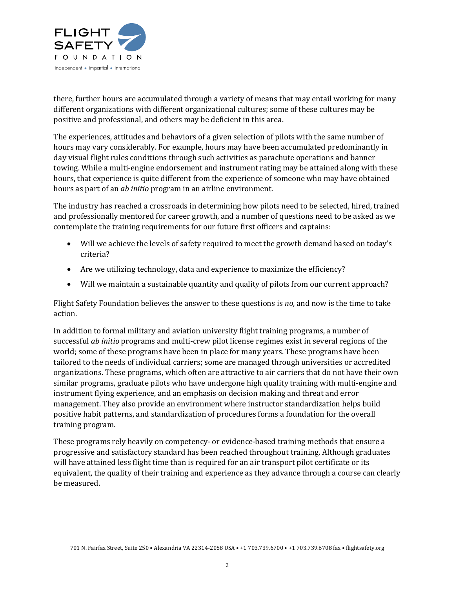

there, further hours are accumulated through a variety of means that may entail working for many different organizations with different organizational cultures; some of these cultures may be positive and professional, and others may be deficient in this area.

The experiences, attitudes and behaviors of a given selection of pilots with the same number of hours may vary considerably. For example, hours may have been accumulated predominantly in day visual flight rules conditions through such activities as parachute operations and banner towing. While a multi-engine endorsement and instrument rating may be attained along with these hours, that experience is quite different from the experience of someone who may have obtained hours as part of an *ab initio* program in an airline environment.

The industry has reached a crossroads in determining how pilots need to be selected, hired, trained and professionally mentored for career growth, and a number of questions need to be asked as we contemplate the training requirements for our future first officers and captains:

- Will we achieve the levels of safety required to meet the growth demand based on today's criteria?
- Are we utilizing technology, data and experience to maximize the efficiency?
- Will we maintain a sustainable quantity and quality of pilots from our current approach?

Flight Safety Foundation believes the answer to these questions is *no*, and now is the time to take action.

In addition to formal military and aviation university flight training programs, a number of successful *ab initio* programs and multi-crew pilot license regimes exist in several regions of the world; some of these programs have been in place for many years. These programs have been tailored to the needs of individual carriers; some are managed through universities or accredited organizations. These programs, which often are attractive to air carriers that do not have their own similar programs, graduate pilots who have undergone high quality training with multi-engine and instrument flying experience, and an emphasis on decision making and threat and error management. They also provide an environment where instructor standardization helps build positive habit patterns, and standardization of procedures forms a foundation for the overall training program.

These programs rely heavily on competency- or evidence-based training methods that ensure a progressive and satisfactory standard has been reached throughout training. Although graduates will have attained less flight time than is required for an air transport pilot certificate or its equivalent, the quality of their training and experience as they advance through a course can clearly be measured.